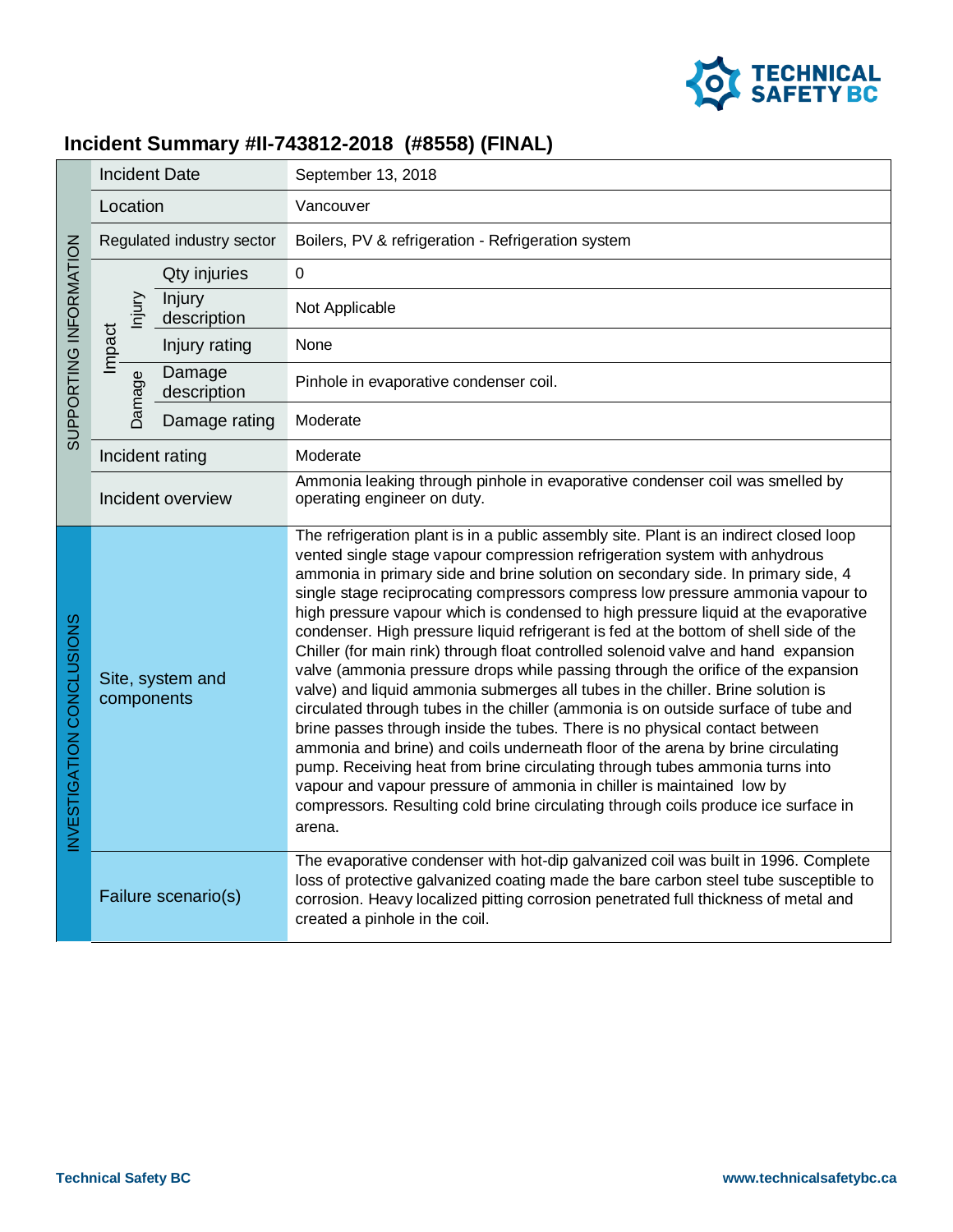

## **Incident Summary #II-743812-2018 (#8558) (FINAL)**

| SUPPORTING INFORMATION   | <b>Incident Date</b>           |        |                       | September 13, 2018                                                                                                                                                                                                                                                                                                                                                                                                                                                                                                                                                                                                                                                                                                                                                                                                                                                                                                                                                                                                                                                                                                                                                                                                                                                                                      |
|--------------------------|--------------------------------|--------|-----------------------|---------------------------------------------------------------------------------------------------------------------------------------------------------------------------------------------------------------------------------------------------------------------------------------------------------------------------------------------------------------------------------------------------------------------------------------------------------------------------------------------------------------------------------------------------------------------------------------------------------------------------------------------------------------------------------------------------------------------------------------------------------------------------------------------------------------------------------------------------------------------------------------------------------------------------------------------------------------------------------------------------------------------------------------------------------------------------------------------------------------------------------------------------------------------------------------------------------------------------------------------------------------------------------------------------------|
|                          | Location                       |        |                       | Vancouver                                                                                                                                                                                                                                                                                                                                                                                                                                                                                                                                                                                                                                                                                                                                                                                                                                                                                                                                                                                                                                                                                                                                                                                                                                                                                               |
|                          | Regulated industry sector      |        |                       | Boilers, PV & refrigeration - Refrigeration system                                                                                                                                                                                                                                                                                                                                                                                                                                                                                                                                                                                                                                                                                                                                                                                                                                                                                                                                                                                                                                                                                                                                                                                                                                                      |
|                          |                                |        | Qty injuries          | $\overline{0}$                                                                                                                                                                                                                                                                                                                                                                                                                                                                                                                                                                                                                                                                                                                                                                                                                                                                                                                                                                                                                                                                                                                                                                                                                                                                                          |
|                          |                                | hjury  | Injury<br>description | Not Applicable                                                                                                                                                                                                                                                                                                                                                                                                                                                                                                                                                                                                                                                                                                                                                                                                                                                                                                                                                                                                                                                                                                                                                                                                                                                                                          |
|                          | Impact                         |        | Injury rating         | None                                                                                                                                                                                                                                                                                                                                                                                                                                                                                                                                                                                                                                                                                                                                                                                                                                                                                                                                                                                                                                                                                                                                                                                                                                                                                                    |
|                          |                                | Damage | Damage<br>description | Pinhole in evaporative condenser coil.                                                                                                                                                                                                                                                                                                                                                                                                                                                                                                                                                                                                                                                                                                                                                                                                                                                                                                                                                                                                                                                                                                                                                                                                                                                                  |
|                          |                                |        | Damage rating         | Moderate                                                                                                                                                                                                                                                                                                                                                                                                                                                                                                                                                                                                                                                                                                                                                                                                                                                                                                                                                                                                                                                                                                                                                                                                                                                                                                |
|                          | Incident rating                |        |                       | Moderate                                                                                                                                                                                                                                                                                                                                                                                                                                                                                                                                                                                                                                                                                                                                                                                                                                                                                                                                                                                                                                                                                                                                                                                                                                                                                                |
|                          | Incident overview              |        |                       | Ammonia leaking through pinhole in evaporative condenser coil was smelled by<br>operating engineer on duty.                                                                                                                                                                                                                                                                                                                                                                                                                                                                                                                                                                                                                                                                                                                                                                                                                                                                                                                                                                                                                                                                                                                                                                                             |
| NVESTIGATION CONCLUSIONS | Site, system and<br>components |        |                       | The refrigeration plant is in a public assembly site. Plant is an indirect closed loop<br>vented single stage vapour compression refrigeration system with anhydrous<br>ammonia in primary side and brine solution on secondary side. In primary side, 4<br>single stage reciprocating compressors compress low pressure ammonia vapour to<br>high pressure vapour which is condensed to high pressure liquid at the evaporative<br>condenser. High pressure liquid refrigerant is fed at the bottom of shell side of the<br>Chiller (for main rink) through float controlled solenoid valve and hand expansion<br>valve (ammonia pressure drops while passing through the orifice of the expansion<br>valve) and liquid ammonia submerges all tubes in the chiller. Brine solution is<br>circulated through tubes in the chiller (ammonia is on outside surface of tube and<br>brine passes through inside the tubes. There is no physical contact between<br>ammonia and brine) and coils underneath floor of the arena by brine circulating<br>pump. Receiving heat from brine circulating through tubes ammonia turns into<br>vapour and vapour pressure of ammonia in chiller is maintained low by<br>compressors. Resulting cold brine circulating through coils produce ice surface in<br>arena. |
|                          |                                |        | Failure scenario(s)   | The evaporative condenser with hot-dip galvanized coil was built in 1996. Complete<br>loss of protective galvanized coating made the bare carbon steel tube susceptible to<br>corrosion. Heavy localized pitting corrosion penetrated full thickness of metal and<br>created a pinhole in the coil.                                                                                                                                                                                                                                                                                                                                                                                                                                                                                                                                                                                                                                                                                                                                                                                                                                                                                                                                                                                                     |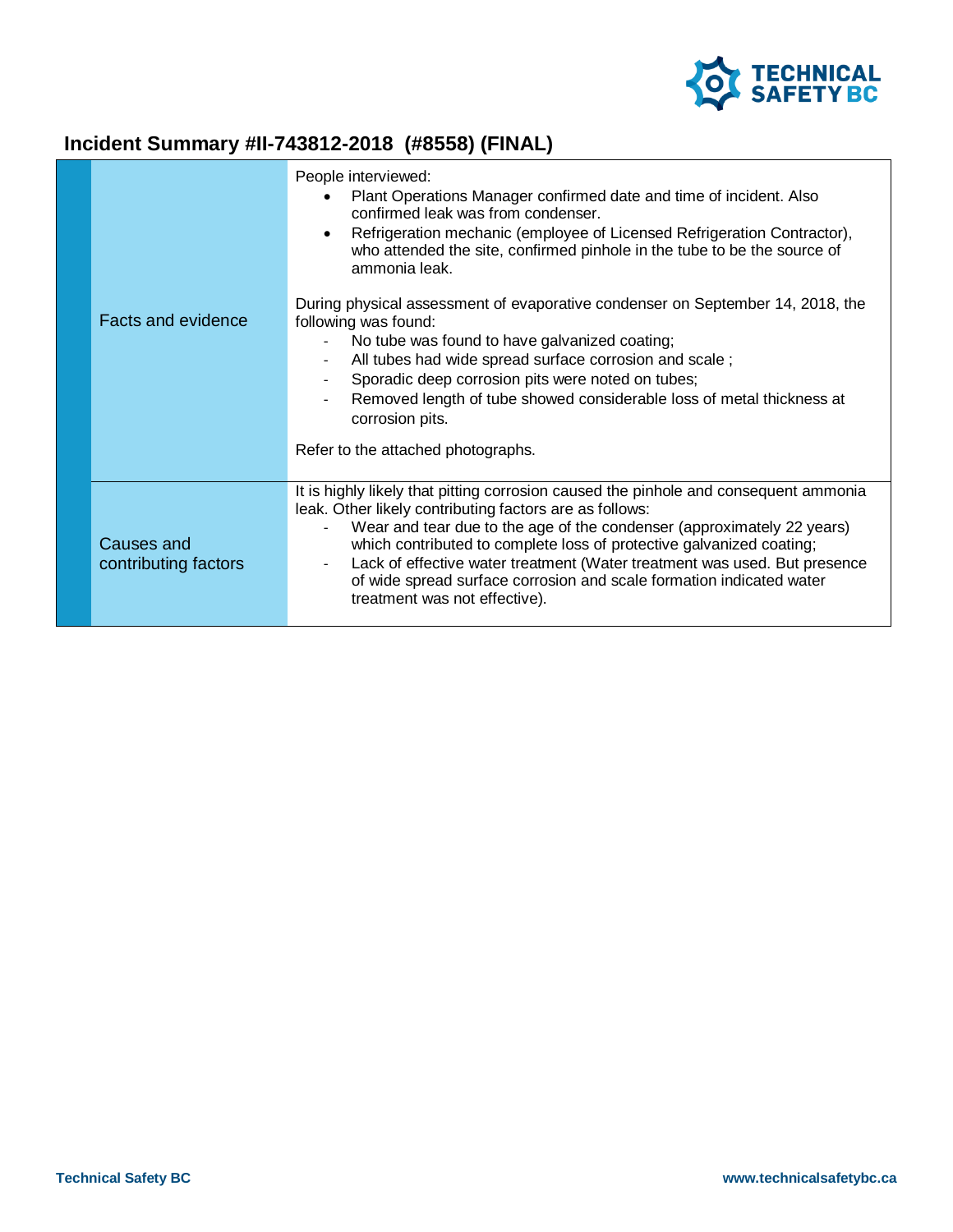

## **Incident Summary #II-743812-2018 (#8558) (FINAL)**

|                                    | People interviewed:<br>Plant Operations Manager confirmed date and time of incident. Also<br>$\bullet$<br>confirmed leak was from condenser.<br>Refrigeration mechanic (employee of Licensed Refrigeration Contractor),<br>$\bullet$<br>who attended the site, confirmed pinhole in the tube to be the source of<br>ammonia leak.                                                                                                                                                       |
|------------------------------------|-----------------------------------------------------------------------------------------------------------------------------------------------------------------------------------------------------------------------------------------------------------------------------------------------------------------------------------------------------------------------------------------------------------------------------------------------------------------------------------------|
| <b>Facts and evidence</b>          | During physical assessment of evaporative condenser on September 14, 2018, the<br>following was found:<br>No tube was found to have galvanized coating;<br>All tubes had wide spread surface corrosion and scale;<br>$\overline{\phantom{a}}$<br>Sporadic deep corrosion pits were noted on tubes;<br>Removed length of tube showed considerable loss of metal thickness at<br>corrosion pits.                                                                                          |
|                                    | Refer to the attached photographs.                                                                                                                                                                                                                                                                                                                                                                                                                                                      |
| Causes and<br>contributing factors | It is highly likely that pitting corrosion caused the pinhole and consequent ammonia<br>leak. Other likely contributing factors are as follows:<br>Wear and tear due to the age of the condenser (approximately 22 years)<br>which contributed to complete loss of protective galvanized coating;<br>Lack of effective water treatment (Water treatment was used. But presence<br>of wide spread surface corrosion and scale formation indicated water<br>treatment was not effective). |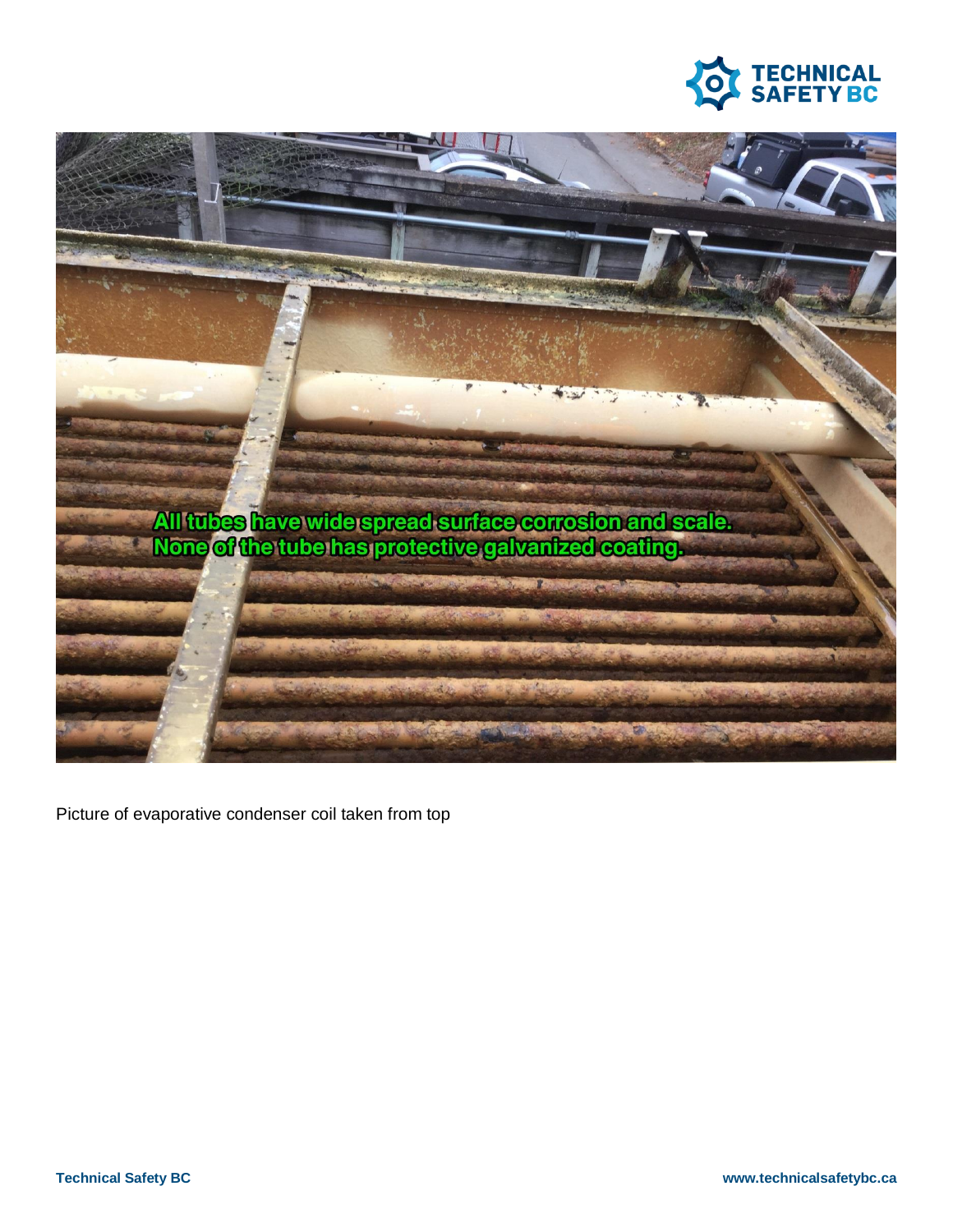



Picture of evaporative condenser coil taken from top